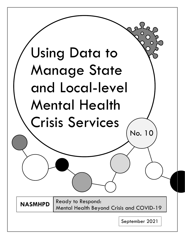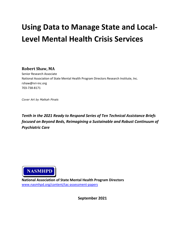# **Using Data to Manage State and Local-Level Mental Health Crisis Services**

**Robert Shaw, MA**

Senior Research Associate National Association of State Mental Health Program Directors Research Institute, Inc. rshaw@nri-inc.org 703-738-8171

*Cover Art by Malkah Pinals*

*Tenth in the 2021 Ready to Respond Series of Ten Technical Assistance Briefs focused on Beyond Beds, Reimagining a Sustainable and Robust Continuum of Psychiatric Care*



**National Association of State Mental Health Program Directors** [www.nasmhpd.org/content/tac-assessment-papers](http://www.nasmhpd.org/content/tac-assessment-papers)

**September 2021**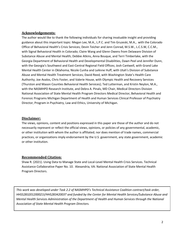## **Acknowledgements:**

The author would like to thank the following individuals for sharing invaluable insight and providing guidance about this important topic: Megan Lee, M.A., L.P.C. and Tim Gruzeski, M.A., with the Colorado Office of Behavioral Health's Crisis Services; Devin Teicher and Jenn Conrad, M.S.W., L.C.S.W, C.C.M., with Signal Behavioral Health in Colorado; Claire Wang and Glenn Owens from Delaware Division of Substance Abuse and Mental Health; Debbie Atkins, Anna Bouque, and Terri Timberlake, with the Georgia Department of Behavioral Health and Developmental Disabilities, Dawn Peel and Jennifer Dunn, with the Georgia's Southwest and East-Central Regional Field Offices; Josh Cantwell, with Grand Lake Mental Health Center in Oklahoma; Nicole Cunha and LeAnne Huff, with Utah's Division of Substance Abuse and Mental Health Treatment Services; David Reed, with Washington State's Health Care Authority; Joe Avalos, Chris Foster, and Valerie House, with Olympic Health and Recovery Services (Thurston and Mason Counties Behavioral Health Services); Ted Lutterman, and Kristin Neylon, M.A., with the NASMHPD Research Institute, and Debra A. Pinals, MD Chair, Medical Directors Division National Association of State Mental Health Program Directors Medical Director, Behavioral Health and Forensic Programs Michigan Department of Health and Human Services Clinical Professor of Psychiatry Director, Program in Psychiatry, Law and Ethics, University of Michigan.

## **Disclaimer:**

The views, opinions, content and positions expressed in this paper are those of the author and do not necessarily represent or reflect the official views, opinions, or policies of any governmental, academic, or other institution with whom the author is affiliated; nor does mention of trade names, commercial practices, or organizations imply endorsement by the U.S. government, any state government, academic or other institution.

## **Recommended Citation:**

Shaw R. (2021). Using Data to Manage State and Local-Level Mental Health Crisis Services. Technical Assistance Collaborative Paper No. 10. Alexandria, VA: National Association of State Mental Health Program Directors.

*This work was developed under Task 2.2 of NASMHPD's Technical Assistance Coalition contract/task order, HHSS283201200021I/HHS28342003T and funded by the Center for Mental Health Services/Substance Abuse and Mental Health Services Administration of the Department of Health and Human Services through the National Association of State Mental Health Program Directors.*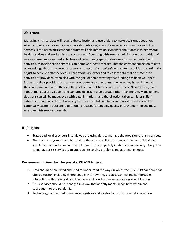## **Abstract:**

Managing crisis services will require the collection and use of data to make decisions about how, when, and where crisis services are provided. Also, registries of available crisis services and other services in the psychiatric care continuum will help inform policymakers about access to behavioral health services and any barriers to such access. Operating crisis services will include the provision of services based more on past activities and determining specific strategies for implementation of activities. Managing crisis services is an iterative process that requires the constant collection of data or knowledge that can be used to assess all aspects of a provider's or a state's activities to continually adjust to achieve better services. Great efforts are expended to collect data that document the activities of providers, often also with the goal of demonstrating that funding has been well spent. States and their providers do not always operate in an environment where they have all the data they could use, and often the data they collect are not fully accurate or timely. Nevertheless, even suboptimal data are valuable and can provide insight albeit broad rather than minute. Management decisions can still be made, even with data limitations, and the direction taken can later shift if subsequent data indicate that a wrong turn has been taken. States and providers will do well to continually examine data and operational practices for ongoing quality improvement for the most effective crisis services possible.

## **Highlights**:

- States and local providers interviewed are using data to manage the provision of crisis services.
- There are always more and better data that can be collected, however the lack of ideal data should be a reminder for caution but should not completely inhibit decision making. Using data to manage crisis services is an approach to solving problems and addressing needs

## **Recommendations for the post-COVID-19 future**:

- 1. Data should be collected and used to understand the ways in which the COVID-19 pandemic has altered society, including where people live, how they are accustomed and comfortable interacting with the world, and their jobs and how that impacts crisis service utilization.
- 2. Crisis services should be managed in a way that adeptly meets needs both within and subsequent to the pandemic.
- 3. Technology can be used to enhance registries and locator tools to inform data collection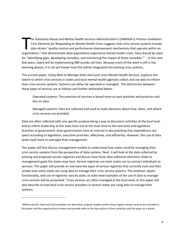The Substance Abuse and Mental Health Services Administration's (SAMHSA's) Practice Guidelines:<br>Core Elements for Responding to Mental Health Crises suggests that crisis service systems include<br>data-driven "quality-control he Substance Abuse and Mental Health Services Administration's (SAMHSA's) *Practice Guidelines: Core Elements for Responding to Mental Health Crises* suggests that crisis service systems include data-driven "quality-control and performance-improvement mechanisms that operate within an for "identifying gaps, developing remedies, and monitoring the impact of these remedies."  $*$ . In the next few years, states will be implementing 988 suicide call lines. Because much of the work is still in the planning phases, it is not yet known how this will be integrated into existing crisis systems.

This current paper, *Using Data to Manage State and Local Level Mental Health Services*, explores the extent to which crisis services in states and local mental health agencies collect and use data to inform their crisis service systems. Systems can either be operated or managed. The distinctions between these types of services are as follows and further delineated below:

Operated systems: The provision of services is based more on past activities and practices and less on data.

Managed systems: Data are collected and used to make decisions about how, when, and where crisis services are provided.

Data are often collected with one specific purpose being a way to document activities at the local level and to inform leadership at the state level and at the state level to the executive and legislative branches of government. State governments have an interest in documenting that expenditures are spent according to legislation, executive priorities, effectively, and efficiently. However, this use of data lends itself more to oversight than management.

This paper will first discuss management models to understand how states could be managing their crisis service systems from the perspective of data systems. Next, it will look at the data collected by existing and proposed service registries and discuss how those data collection elements relate to management goals the states may have. Service registries are tools states use to connect individuals to services. This paper will provide an overview the types of service registries that currently exist and then review how some states are using data to manage their crisis service systems. The ambition, depth, functionality, and use of registries vary by state, so state level examples of the use of data to manage crisis services will be presented.<sup>1</sup> Crisis services are often managed at the local level, so this paper will also describe at how local crisis service providers in several states are using data to manage their systems.

<span id="page-4-0"></span><sup>\*</sup>Where specific state and local examples are described, program leaders within those regions whose services are included in this paper had the opportunity to review and provide edits to the description of their activities and the paper as a whole.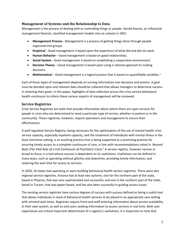## **Management of Systems and the Relationship to Data**

Management is the process of dealing with or controlling things or people. Harold Koontz, an influential management theorist, classified management models into six schools in 1961:

- **Management Process** Management is a process of getting things done through people organized into groups.
- **Empirical**  Good management is based upon the experience of what did and did not work.
- **Human Behavior** Good management is based on good relationships.
- **Social System** Good management is based on establishing a cooperative environment.
- **Decision Theory** Good management is based upon using a rational approach to making decisions.
- **Mathematical** Good management is a logical process that is based on quantifiable variables.<sup>1</sup>

Each of these types of management depends on turning information into decisions and actions. A goal must be decided upon and relevant data should be collected that allows managers to determine success in attaining their goals. In this paper, highlights of data collection across the crisis service behavioral health continuum to inform these various aspects of management will be reviewed.

## **Service Registries**

Crisis Service Registries are tools that provide information about where there are open services for people in crisis who are determined to need a particular type of service, whether in-patient or in the community. These registries, however, require operations and management to ensure their effectiveness.

A well regulated Service Registry, being necessary for the optimization of the use of mental health crisis service capacity, especially inpatient capacity, and the treatment of individuals with mental illness in the least restrictive setting, is an evolving practice that is being supported as a promising practice for ensuring timely access to a complete continuum of care, in line with recommendations noted in *Beyond Beds (The Vital Role of a Full Continuum of Psychiatric Care)*. <sup>2</sup> A service registry, however narrow or broad its focus, is a tool whose success is dependent on its usefulness. Usefulness can be defined in many ways, such as operating without glitches and downtime, providing timely information, and reducing the wait time for access to services.

In 2020, 24 states had operating or were building behavioral health service registries. There were also regional service registries. Arizona had at least two systems, one for the northern part of the state, based in Phoenix, that was very sophisticated and successful, and one in the southern part of the state, based in Tucson, that was paper-based, and has also been successful in guiding access issues.

The existing service registries have various degrees of success with success defined as being a useful tool that allows individuals in need of behavioral health services to be placed in an appropriate care setting with minimal wait times. Registries require front-end staff entering information about service availability in their own system, as well as end-users seeking information to access services in real time. Both user experiences are critical important determinant of a registry's usefulness. It is important to note that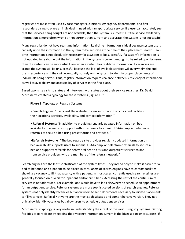registries are most often used by case managers, clinicians, emergency departments, and first responders trying to place an individual in need with an appropriate service. If a user can accurately see that the services being sought are not available, then the system is successful. If the service availability information is more often wrong or not current than current and accurate, the system is not successful.

Many registries do not have real-time information. Real-time information is ideal because system users can rely upon the information in the system to be accurate at the time of their placement search. Realtime information is not absolutely necessary for a system to be successful. If a system's information is not updated in real-time but the information in the system is current enough to be relied upon by users, then the system can be successful. Even when a system has real-time information, if vacancies are scarce the system will be unsuccessful because the lack of available services will overwhelm the enduser's experience and they will eventually not rely on the system to identify proper placements of individuals being served. Thus, registry information requires balance between sufficiency of information as well as availability and accessibility of services in the first place.

Based upon site visits to states and interviews with states about their service registries, Dr. David Morrissette created a typology for these systems (Figure 1):<sup>3</sup>

**Figure 1**. Typology or Registry Systems

• **Search Engines**: "Users visit the website to view information on crisis bed facilities, their locations, services, availability, and contact information."

• **Referral Systems**: "In addition to providing regularly updated information on bed availability, the websites support authorized users to submit HIPAA-compliant electronic referrals to secure a bed using preset forms and protocols."

•**Referrals Networks**: "The bed registry site provides regularly updated information on bed availability supports users to submit HIPAA-compliant electronic referrals to secure a bed and supports referrals for behavioral health crisis and outpatient services to and from service providers who are members of the referral network."

Search engines are the least sophisticated of the system types. They intend only to make it easier for a bed to be found and a patient to be placed in care. Users of search engines have to contact facilities showing a vacancy to fill that vacancy with a patient. In most cases, currently used search engines are generally focused on psychiatric inpatient and/or crisis beds. Accessing the rest of the continuum of services is not addressed. For example, one would have to look elsewhere to schedule an appointment for an outpatient service. Referral systems are more sophisticated versions of search engines. Referral systems not only identify vacancies but allow users to send documents necessary to initiate placements to fill vacancies. Referral Networks are the most sophisticated and comprehensive version. They not only allow identify vacancies but allow users to schedule outpatient services.

Morrissette's typology is very useful in understanding the intent of the various registry systems. Getting facilities to participate by keeping their vacancy information current is the biggest barrier to success. If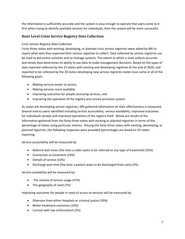the information is sufficiently accurate and the system is easy enough to operate that users come to it first when trying to identify available services for individuals, then the system will be more successful.

## **State Level Crisis Service Registry Data Collection**

## *Crisis Service Registry Data Collection*

Forty-three states with existing, developing, or planned crisis service registries were asked by NRI to report what data they expected their service registries to collect. Data collected by service registries can be used to document activities and to manage systems. The extent to which a state collects accurate and timely data determines its ability to use data to make management decisions. Based on the types of data reported collected by the 23 states with existing and developing registries at the end of 2020, and reported to be collected by the 20 states developing new service registries states have some or all of the following goals:

- Making services easier to access;
- Making services more available;
- Improving outcomes for people accessing services; and
- Improving the operation of the registry and service provision system.

As states are developing service registries, NRI gathered information on their effectiveness is measured. Several metrics were identified including service accessibility, service availability; improved outcomes for individuals served, and improved operations of the registry itself. Below are results of the information gathered from the forty-three states with existing or planned registries in terms of the percentage of states using particular metrics. Among the forty-three states with existing, developing, or planned registries, the following responses were provided (percentages are based on 43 states reporting:

Service accessibility will be measured by:

- Referral wait times (the time a caller waits to be referred to any type of treatment) (35%)
- Connection to treatment (19%)
- Denials of service (13%)
- Discharge wait time (the time a patient waits to be discharged from care) (2%)

Service availability will be measured by:

- The volume of service usage (47%)
- The geography of need (7%)

Improving outcomes for people in need of access to services will be measured by:

- Diversion from either hospitals or criminal justice (33%)
- Better treatment outcomes (14%)
- Contact with law enforcement (2%)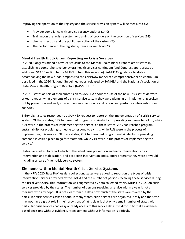Improving the operation of the registry and the service provision system will be measured by:

- Provider compliance with service vacancy updates (14%)
- Training on the registry system or training of providers on the provision of services (14%)
- User satisfaction and the public perception of the system (7%)
- The performance of the registry system as a web tool (2%)

## **Mental Health Block Grant Reporting on Crisis Services**

In 2020, Congress added a new 5% set-aside to the Mental Health Block Grant to assist states in establishing a comprehensive behavioral health services continuum (and Congress appropriated an additional \$42.25 million to the MHBG to fund this set-aside). SAMHSA's guidance to states accompanying the new funds, emphasized the CrisisNow model of a comprehensive crisis continuum described in the 2020 National Guidelines report released by SAMHSA and the National Association of State Mental Health Program Directors (NASMHPD). 4

In 2021, states as part of their submission to SAMHSA about the use of the new Crisis set-aside were asked to report what elements of a crisis service system they were planning on implementing broken out by prevention and early intervention, intervention, stabilization, and post-crisis interventions and supports.

Thirty-eight states responded to a SAMHSA request to report on the implementation of a crisis service system. Of these states, 55% had reached program sustainability for providing someone to talk to, while 45% were in the process of implementing this service. Of these states, 26% had reached program sustainability for providing someone to respond to a crisis, while 71% were in the process of implementing this service. Of these states, 21% had reached program sustainability for providing someone in crisis a place to go for treatment, while 74% were in the process of implementing this service.<sup>5</sup>

States were asked to report which of the listed crisis prevention and early intervention, crisis intervention and stabilization, and post-crisis intervention and support programs they were or would including as part of their crisis service system.

## **Elements within Mental Health Crisis Service Systems**

In the NRI's 2020 State Profiles data collection, states were asked to report on the types of crisis intervention services provided by the SMHA and the number of persons receiving these services during the fiscal year 2019. This information was augmented by data collected by NASMHPD in 2021 on crisis services provided by the states. The number of persons receiving a service within a year is not a measure with any depth. It is not clear from the data how much of the states are covered by the particular crisis services asked about. In many states, crisis services are organized locally and the state may not have a great role in their provision. What is clear is that only a small number of states with particular crisis services had easy or ready access to this service data. It is difficult to make evidencebased decisions without evidence. Management without information is difficult.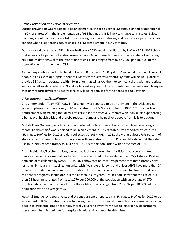## *Crisis Prevention and Early Intervention*

Suicide prevention was reported to be an element in the crisis service systems, planned or operational, in 90% of states. With the implementation of 988 hotlines, this is likely to change to all states. Safety Planning, a tool that results in a list of warning signs, coping strategies, and resources a person in crisis can use when experiencing future crises, is a system element in 80% of states.

Data reported by states via NRI's State Profiles for 2020 and data collected by NASMHPD in 2021 show that at least 78% percent of states currently have 24-hour crisis hotlines, with one state not reporting. NRI Profiles data show that the rate of use of crisis lines ranged from 82 to 2,684 per 100,000 of the population with an average of 789.

As planning continues with the build out of a 988 response, "988 systems" will need to connect suicidal people in crisis with appropriate services. States with successful referral systems will be well placed to provide 988 system operators with information that will allow them to connect callers with appropriate services at all levels of intensity. Not all callers will require mobile crisis intervention, yet a search engine that only reports psychiatric bed vacancies will be inadequate for the needs of a 988 system.

## *Crisis Intervention/Stabilization*

Crisis Intervention Team (CIT)/Law Enforcement was reported to be an element in the crisis service systems, planned or operational, in 94% of states via NRI's State Profiles for 2020. CIT provides law enforcement with training that allows officers to more effectively interact with individuals experiencing a behavioral health crisis and thereby reduces stigma and helps divert people from jails to treatment.<sup>6</sup>

Mobile Crisis Outreach, which is community-based mobile interventions for people experiencing a mental health crisis,<sup>7</sup> was reported to be in an element in 92% of states. Data reported by states via NRI's State Profiles for 2020 and data collected by NASMHPD in 2021 show that at least 73% percent of states currently have mobile crisis programs with six states unknown. Profiles data show that the rate of use in FY 2019 ranged from 9 to 1,317 per 100,000 of the population with an average of 394.

Crisis Residential/Respite services, always available, no-wrong-door facilities that access and treat people experiencing a mental health crisis,<sup>8</sup> were reported to be an element in 88% of states. Profiles data and data collected by NASMHPD in 2021 show that at least 57% percent of states currently have less than 24-hour crisis stabilization units, with five state unknown, and at least 69% have more than 24 hour crisis residential units, with seven states unknown. An expansion of crisis stabilization and crisis residential programs should occur in the next couple of years. Profiles data show that the use of less than 24-hour units ranged from 1 to 1,070 per 100,000 of the population with an average of 270. Profiles data show that the use of more than 24-hour units ranged from 2 to 197 per 100,000 of the population with an average of 67.

Hospital Emergency Departments and Urgent Care were reported via NRI's State Profiles for 2020 to be an element in 86% of states. In areas following the Crisis Now model of mobile crisis teams transporting people to crisis stabilization facilities, thereby diverting away from hospital emergency departments, there would be a limited role for hospitals in addressing mental health crises.<sup>9</sup>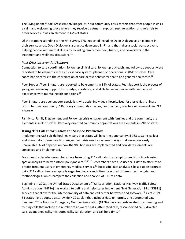The Living Room Model (Assessment/Triage), 24-hour community crisis centers that offer people in crisis a calm and welcoming space where they receive treatment, support, rest, relaxation, and referrals to other services, <sup>10</sup> was an element in 47% of states.

Of the states responding to the NRI survey, 27%, reported including Open Dialogue as an element in their service array. Open Dialogue is a practice developed in Finland that takes a social perspective to helping people with mental illness by including family members, friends, and co-workers in the treatment and wellness discussions.<sup>11</sup>

## *Post Crisis Intervention/Support*

Connection to care coordination, follow-up clinical care, follow-up outreach, and follow-up support were reported to be elements in the crisis service systems planned or operational in 86% of states. Care coordination refers to the coordination of care across behavioral health and general healthcare.<sup>12</sup>

Peer Support/Peer Bridgers are reported to be elements in 84% of states. Peer Support is the process of giving and receiving support, knowledge, assistance, and skills between people with unique lived experience with mental health conditions.<sup>13</sup>

Peer Bridgers are peer support specialists who assist individuals hospitalized for a psychiatric illness return to their community.<sup>14</sup> Recovery community coaches/peer recovery coaches will elements in 69% of states.

Family-to-Family Engagement and Follow-up crisis engagement with families and the community are elements in 67% of states. Recovery-oriented community organizations are elements in 59% of states.

## **Using 911 Call Information for Service Prediction**

Implementing 988 suicide hotlines means that states will have the opportunity, if 988 systems collect and share data, to use data to manage their crisis service systems in ways that were previously unavailable. A lot depends on how the 988 hotlines are implemented and how data elements are conceived and implemented.

For at least a decade, researchers have been using 911 call data to attempt to predict hotspots using spatial analysis to better inform policymakers.<sup>15,16,17</sup> Researchers have also used 911 data to attempt to predict frequent users of emergency medical services. <sup>18</sup> Successful data analysis is based upon accurate data. 911 call centers are typically organized locally and often have used different technologies and methodologies, which hampers the collection and analysis of 911 call data.

Beginning in 2003, the United States Department of Transportation, National Highway Traffic Safety Administration (NHTSA) has worked to define and help states implement Next Generation 911 (NG911) services that allow for the interoperability of data and call center hardware and software.<sup>19</sup> As of 2019, 33 states have adopted a statewide NG911 plan that includes data uniformity and automated data handling.<sup>20</sup> The National Emergency Number Association (NENA) has standards related to answering and routing calls that include the number of answered calls, attempted calls, disconnected calls, diverted calls, abandoned calls, misrouted calls, call duration, and call hold time.<sup>21</sup>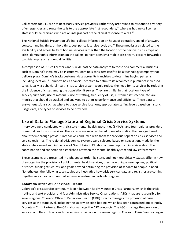Call centers for 911 are not necessarily service providers, rather they are trained to respond to a variety of emergencies and route the calls to the appropriate first responders,<sup>22</sup> whereas hotline call center staff should be clinicians who are an integral part of the clinical response to a call.<sup>23</sup>

The National Suicide Prevention Lifeline, collects information on hours of operation, speed of answer, contact handling time, on-hold time, cost per call, service level, etc.<sup>24</sup> These metrics are related to the availability and accessibility of hotline services rather than the location of the person in crisis, type of crisis, demographic information on the callers, percent seen by a mobile crisis team, percent forwarded to crisis respite or residential facilities.

A comparison of 911 call centers and suicide hotline data analytics to those of a commercial business such as Domino's Pizza may be instructive. Domino's considers itself to be a technology company that delivers pizza. Domino's tracks customer data across its franchises to determine buying patterns, including location. <sup>25</sup> Domino's has a financial incentive to optimize its resources in pursuit of increased sales. Ideally, a behavioral health crisis service system would reduce the need for its services by reducing the incidence of crises among the population it serves. They are similar in that location, type of service/pizza sold, use of materials, use of staffing, frequency of use, customer satisfaction, etc. are metrics that should be tracked and analyzed to optimize performance and efficiency. These data can answer questions such as where to place service locations, appropriate staffing levels based on historic usage data, and types of services to be provided.

## **Use of Data to Manage State and Regional Crisis Service Systems**

Interviews were conducted with six state mental health authorities (SMHAs) and four regional providers of mental health crisis services. The states were selected based upon information that was gathered about them through previous interviews conducted with them for previous papers on crisis services and service registries. The regional crisis service systems were selected based on suggestions made by the states interviewed and, in the case of Grand Lake in Oklahoma, based upon an interview about the coordination and cooperation established between the mental health system and law enforcement.

These examples are presented in alphabetical order, by state, and not hierarchically. States differ in how they organize the provision of public mental health services, they have unique geographies, political histories, funding structures, and goals beyond optimizing the provision of services to people in need. Nonetheless, the following case studies are illustrative how crisis services data and registries are coming together as a crisis continuum of services is realized in particular regions.

## **Colorado Office of Behavioral Health**

Colorado's crisis service continuum is split between Rocky Mountain Crisis Partners, which is the crisis hotline and text provider, and four Administrative Service Organizations (ASOs) that are responsible for seven regions. Colorado Office of Behavioral Health (OBH) directly manages the provision of crisis services at the state level, including the statewide crisis hotline, which has been contracted out to Rocky Mountain Crisis Partners. The OBH also manages the ASO contracts. The ASOs manage the provision of services and the contracts with the service providers in the seven regions. Colorado Crisis Services began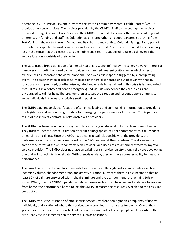operating in 2014. Previously, and currently, the state's Community Mental Health Centers (CMHCs) provide emergency services. The services provided by the CMHCs significantly overlap the services provided through Colorado Crisis Services. The CMHCs are not all the same, often because of regional differences in funding and staffing. Colorado has one large urban and suburban area stretching from Fort Collins in the north, through Denver and its suburbs, and south to Colorado Springs. Every part of the system is expected to work seamlessly with every other part. Services are intended to be boundaryless in the sense that the closest, available mobile crisis team is supposed to take a call, even if the service location is outside of their region.

The state uses a broad definition of a mental health crisis, one defined by the caller. However, there is a narrower crisis definition used by the providers (a non-life-threatening situation in which a person experiences an intensive behavioral, emotional, or psychiatric response triggered by a precipitating event. The person may be at risk of harm to self or others, disoriented or out of touch with reality, functionally compromised, or otherwise agitated and unable to be calmed. If this crisis is left untreated, it could result in a behavioral health emergency). Individuals who believe they are in crisis are encouraged to call for help. The provider then assesses the situation and responds appropriately, to serve individuals in the least restrictive setting possible.

The SMHA data and analytical focus are often on collecting and summarizing information to provide to the legislature and less on using this data for managing the performance of providers. This is partly a result of the indirect contractual relationship with providers.

The SMHA has been collecting crisis system data at an aggregate level to look at trends and changes. They track call center service utilization by client demographics, call abandonment rates, call response times, time on call, etc. Since the ASOs have a contractual relationship with the providers, the performance of the providers is managed by the ASOs and not at the state-level. The state does set some of the terms of the ASOs contracts with providers and uses data to amend contracts to improve service provision. The SMHA does not have an existing crisis service registry though they are developing one that will collect client-level data. With client-level data, they will have a greater ability to measure performance.

The crisis line is currently and has previously been monitored through performance metrics such as incoming volume, abandonment rate, and activity duration. Currently, there is an expectation that at least 80% of calls are answered within the first minute and the abandonment rate remains 10% or lower. When, due to COVID-19 pandemic-related issues such as staff turnover and switching to working from home, the performance began to lag, the SMHA increased the resources available to the crisis line contractor.

The SMHA tracks the utilization of mobile crisis services by client demographics, frequency of use by individuals, and location of where the services were provided, and analyzes for trends. One of their goals is for mobile services to reach clients where they are and not serve people in places where there are already available mental health services, such as at schools.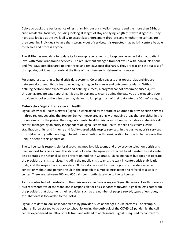Colorado tracks the performance of less than 24-hour crisis walk-in centers and the more than 24-hour crisis residential facilities, including looking at length of stay and tying length of stay to diagnoses. They have also looked at the availability to accept law enforcement drop-offs and whether the centers are pre-screening individuals to rule them wrongly out of services. It is expected that walk-in centers be able to receive and process anyone.

The SMHA has used data to update its follow-up requirements to keep people served at an outpatient level with more wraparound services. The requirement changed from follow-up with individuals at oneand five-days post-discharge to one, three, and ten days post-discharge. They are tracking the success of this update, but it was too early at the time of the interview to determine its success.

For states just starting to build crisis data systems, Colorado suggests that robust relationships are between all community partners, including setting performance and outcome standards. Without defining performance expectations and defining success, a program cannot determine success just through aggregate data reporting. It is also important to clearly define the data you are expecting your providers to collect otherwise they may default to lumping much of their data into the "Other" category.

## **Colorado – Signal Behavioral Health**

Signal Behavioral Health Network (Signal) is contracted by the state of Colorado to provide crisis services in three regions covering the Boulder-Denver metro area along with outlying areas that are either in the mountains or on the plains. Their region's mental health crisis care continuum includes a statewide call center, managed by an entity independent of Signal Behavioral Health, mobile crisis teams, crisis stabilization units, and in-home and facility-based crisis respite services. In the past year, crisis services for children and youth have begun to get more attention with consideration for how to better serve the unique needs of this population.

The call center is responsible for dispatching mobile crisis teams and they provide telephonic crisis and peer support to callers across the state of Colorado. The agency contracted to administer the call center also operates the national suicide prevention hotline in Colorado. Signal manages but does not operate the providers of crisis services, including the mobile crisis teams, the walk-in center, crisis stabilization units, and the respite service providers. Of the calls received for their regions by the statewide call center, only about one percent result in the dispatch of a mobile crisis team or a referral to a walk-in center. There are between 500 and 600 calls per month statewide to the call center.

As the contracted administrator of the crisis services in Denver region, Signal Behavioral Health operates as a representative of the state, and is responsible for crisis services statewide. Signal collects data from the providers that document their activities, such as the number of people served, types of episodes, etc. That data is forwarded to the SMHA.

Signal uses data to look at service trends by provider, such as changes in use patterns. For example, when children started to go back to school following the outbreak of the COVID-19 pandemic, the call center experienced an influx of calls from and related to adolescents. Signal is required by contract to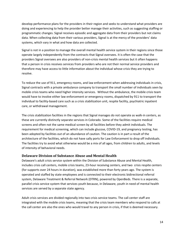develop performance plans for the providers in their region and seeks to understand what providers are doing and experiencing to help the provider better manage their activities, such as suggesting staffing or programmatic changes. Signal receives episodic and aggregate data from their providers but not claims data. When collecting data from their various providers, Signal is at the mercy of the providers' data systems, which vary in what and how data are collected.

Signal is not in a position to manage the overall mental health service system in their regions since those operate largely independently from the contracts that Signal oversees. It is often the case that the providers Signal oversees are also providers of non-crisis mental health services but it often happens that a person in crisis receives services from providers who are not their normal service providers and therefore may have access to little information about the individual whose crisis they are trying to resolve.

To reduce the use of 911, emergency rooms, and law enforcement when addressing individuals in crisis, Signal contracts with a private ambulance company to transport the small number of individuals seen by mobile crisis teams who need higher intensity services. Without the ambulance, the mobile crisis team would have to involve either law enforcement or emergency rooms, dispatched by 911 to transport the individual to facility-based care such as a crisis stabilization unit, respite facility, psychiatric inpatient care, or withdrawal management.

The crisis stabilization facilities in the regions that Signal manages do not operate as walk-in centers, as these are currently distinctly separate services in Colorado. Some of the facilities require medical screens and often not the same medical screen by all facilities before they admit individuals. The requirement for medical screening, which can include glucose, COVID-19, and pregnancy testing, has been adopted by facilities out of an abundance of caution. The caution is in part a result of the architecture of the facilities, which do not have sally ports for Law Enforcement to drop off individuals. The facilities try to avoid what otherwise would be a mix of all ages, from children to adults, and levels of intensity of behavioral needs.

## **Delaware Division of Substance Abuse and Mental Health**

Delaware's adult crisis service system within the Division of Substance Abuse and Mental Health, includes crisis call centers, mobile crisis teams, 23-hour receiving centers, and two crisis respite centers (for supports over 24 hours in duration), was established more than forty years ago. The system is operated and staffed by state employees and is connected to their electronic bidirectional referral system, Delaware Treatment & Referral Network (DTRN), powered by OpenBeds. There is a separate, parallel crisis service system that services youth because, in Delaware, youth in need of mental health services are served by a separate state agency.

Adult crisis services are divided regionally into two crisis service teams. The call center staff are integrated with the mobile crisis teams, meaning that the crisis team members who respond to calls at the call center are also the ones who would travel to any person in crisis, if that is deemed necessary.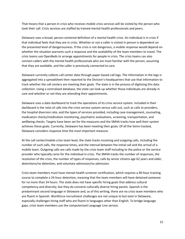That means that a person in crisis who receives mobile crisis services will be visited by the person who took their call. Crisis services are staffed by trained mental health professionals and peers.

Delaware uses a broad, person-centered definition of a mental health crisis. An individual is in crisis if that individual feels that they are in crisis. Whether or not a caller is visited in person is dependent on the presented level of dangerousness. If the crisis is not dangerous, a mobile response would depend on whether the situation warrants such a response and the availability of the team members to travel. The crisis teams use OpenBeds to arrange appointments for people in crisis. The crisis teams can also connect callers with the mental health professionals who are most familiar with the person, assuming that they are available, and the caller is previously connected to care.

Delaware currently collects call center data through paper-based call logs. The information in the logs is aggregated into a spreadsheet then reported to the Division's headquarters that use that information to track whether the call centers are meeting their goals. The state is in the process of digitizing this data collection. Using a centralized database, the state can look up whether those individuals are already in care and whether or not they are attending their appointments.

Delaware uses a data dashboard to track the operations of its crisis service system. Included in their dashboard is the ratio of calls into the crisis service system versus calls out, such as calls to providers, the hospital diversion rate, and the types of services provided, including case management, counseling, medication checks/medication monitoring, psychiatric evaluations, screening, transportation, and wellbeing checks. Targets have been set for the measures and the SMHA tracks how well their system achieves those goals. Currently, Delaware has been meeting their goals. Of all the items tracked, Delaware considers response time the most important measure.

At the call center/mobile crisis team level, the state tracks incoming and outgoing calls, including the number of such calls, the response times, and the interval between the initial call and the arrival of a mobile team. Outgoing calls are calls made by the crisis team staff including to the police or the service provider who typically cares for the individual in crisis. The SMHA tracks the number of responses, the resolution of the crisis, the number of types of responses, calls by senior citizens age 62 years and older, detentions/no detention, and voluntary admission/no admission.

Crisis team members must have mental health screener certification, which requires a 40-hour training course to complete a 24-hour detention, meaning that the team members will have detained someone for no more than 24 hours. The state does not have specific hiring goals that address cultural competency and diversity, but they do convene culturally diverse hiring panels. Spanish is the predominant second language in Delaware and, as of this writing, there are no crisis team members who are fluent in Spanish. Workforce recruitment challenges are not unique to but exist in Delaware, especially challenges hiring staff who are fluent in languages other than English. To bridge language gaps, crisis team members use the computerized Language Line service.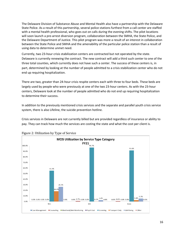The Delaware Division of Substance Abuse and Mental Health also have a partnership with the Delaware State Police. As a result of this partnership, several police stations furthest from a call center are staffed with a mental health professional, who goes out on calls during the evening shifts. The pilot locations will soon launch a pre-arrest diversion program, collaboration between the SMHA, the State Police, and the Delaware Department of Justice. This pilot program was more a result of an interest in collaboration between the State Police and SMHA and the amenability of the particular police station than a result of using data to determine unmet need.

Currently, two 23-hour crisis stabilization centers are contracted but not operated by the state. Delaware is currently renewing the contract. The new contract will add a third such center to one of the three total counties, which currently does not have such a center. The success of these centers is, in part, determined by looking at the number of people admitted to a crisis stabilization center who do not end up requiring hospitalization.

There are two, greater than 24-hour crisis respite centers each with three to four beds. These beds are largely used by people who were previously at one of the two 23-hour centers. As with the 23-hour centers, Delaware look at the number of people admitted who do not end up requiring hospitalization to determine their success.

In addition to the previously mentioned crisis services and the separate and parallel youth crisis service system, there is also Lifeline, the suicide prevention hotline.

Crisis services in Delaware are not currently billed but are provided regardless of insurance or ability to pay. They can track how much the services are costing the state and what the cost per client is.



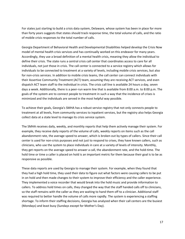For states just starting to build a crisis data system, Delaware, whose system has been in place for more than forty years suggests that states should track response time, the total volume of calls, and the ratio of mobile crisis responses to the total number of calls.

Georgia Department of Behavioral Health and Developmental Disabilities helped develop the Crisis Now model of mental health crisis services and has continually worked on this endeavor for many years. Accordingly, they use a broad definition of a mental health crisis, meaning they allow the individual to define their crisis. The state runs a central crisis call center that coordinates access to care for all individuals, not just those in crisis. The call center is connected to a service registry which allows for individuals to be connected to treatment at a variety of levels, including mobile crisis services, but also for non-crisis services. In addition to mobile crisis teams, the call center can connect individuals with their Assertive Community Treatment (ACT) team, assuming they are receiving ACT services, and even dispatch ACT team staff to the individual in crisis. The crisis call line is available 24 hours a day, seven days a week. Additionally, there is a peer-run warm line that is available from 8:00 a.m. to 8:00 p.m. The goals of the system are to connect people to treatment in such a way that the incidence of crises is minimized and the individuals are served in the most helpful way possible.

To achieve their goals, Georgia's SMHA has a robust service registry that not only connects people to treatment at all levels, from community services to inpatient services, but the registry also helps Georgia collect data at a state level to manage its crisis service system.

The SMHA receives daily, weekly, and monthly reports that help them actively manage their system. For example, they receive daily reports of the volume of calls, weekly reports on items such as the call abandonment rate, the average speed to answer, which is broken out by types of callers. Since their call center is used for non-crisis purposes and not just to respond to crises, they have known callers, such as clinicians, who use the system to place individuals in care at a variety of levels of intensity. Monthly, they get reports on the average speed to answer a call, the abandonment rate, and the hold-time. The hold time or time a caller is placed on hold is an important metric for them because their goal is to be as responsive as possible.

These data reports are used by Georgia to manage their system. For example, when they found that they had a high hold time, they used their data to figure out what factors were causing callers to be put in on hold and then made changes to their system to improve their efficiency and the caller experience. They implemented a voice recorder that would break into the hold music and provide information to callers. To address hold times on calls, they changed the way that the staff handed calls off to clinicians, so the staff remains with the caller as they are waiting to hand them off to a clinician. Additional staff was required to better handle the volume of calls more rapidly. The system is experiencing a staffing shortage. To inform their staffing decisions, Georgia has analyzed when their call centers are the busiest (Mondays) and least busy (Sundays except for Mother's Day).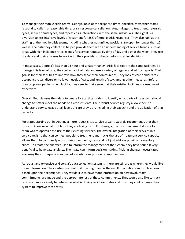To manage their mobile crisis teams, Georgia looks at the response times, specifically whether teams respond to calls in a reasonable time, crisis response cancellation rates, linkages to treatment, referrals types, service denial types, and repeat crisis interactions with the same individuals. Their goal is a diversion to less intensive levels of treatment for 85% of mobile crisis responses. They also look at the staffing of the mobile crisis teams, including whether not unfilled positions are open for longer than 12 weeks. The data they collect has helped provide them with an understanding of service trends, such as areas with high incidence rates, trends for service requests by time of day and day of the week. They use the data and their analyses to work with their providers to better inform staffing decisions.

In most cases, Georgia's less than 24 hour and greater than 24 crisis facilities are the same facilities. To manage this level of care, they collect a lot of data and use a variety of regular and ad hoc reports. Their goal is for their facilities to improve how they serve their communities. They look at care denial rates, occupancy rates, diversion to lower levels of care, and length of stay, among other measures. Before they propose opening a new facility, they seek to make sure that their existing facilities are used most effectively.

Overall, Georgia uses their data to create forecasting models to identify what parts of its system should change to better meet the needs of its constituents. Their robust service registry allows them to understand service usage at all levels of care provision, including their capacity and the utilization of that capacity.

For states starting out in creating a more robust crisis service system, Georgia recommends that they focus on knowing what problems they are trying to fix. For Georgia, the most fundamental issue for them was to optimize the use of their existing services. The overall integration of their services in a service registry that can connect people to treatment and tracks the use of treatment service capacity allows them to continually work to improve their system and not just address possibly momentary crises. To create the analyses used to inform the management of the system, they have found it very beneficial to have data analysts. Their data can inform decision making. Making changes necessitates analyzing the consequences as part of a continuous process of improvement.

As robust and extensive as Georgia's data collection system is, there are still areas where they would like more information. Their system was not built overnight and is the result of additions and subtractions based upon their experience. They would like to have more information on how involuntary commitments, are made and the appropriateness of these commitments. They would also like to track recidivism more closely to determine what is driving recidivism rates and how they could change their system to improve these rates.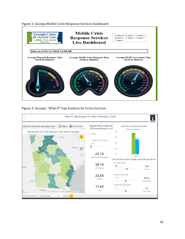Figure 3: Georgia Mobile Crisis Response Services Dashboard



## Figure 4: Georgia: "What If" Gap Analysis for Crisis Services

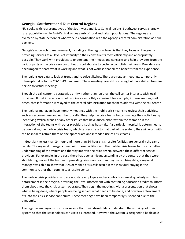## **Georgia –Southwest and East-Central Regions**

NRI spoke with representatives of the Southwest and East-Central regions. Southwest serves a largely rural population while East-Central serves a mix of rural and urban populations. The regions are overseen by state personnel who work in coordination with the agency's central administration as equal partners.

Georgia's approach to management, including at the regional level, is that they focus on the goal of providing services at all levels of intensity to their constituents most efficiently and appropriately possible. They work with providers to understand their needs and concerns and help providers from the various parts of the crisis service continuum collaborate to better accomplish their goals. Providers are encouraged to share what is working and what is not work so that all can benefit from the experience.

The regions use data to look at trends and to solve glitches. There are regular meetings, temporarily interrupted due to the COVID-19 pandemic. These meetings are still occurring but have shifted from inperson to virtual meetings.

Though the call center is a statewide entity, rather than regional, the call center interacts with local providers. If that interaction is not running as smoothly as desired, for example, if there are long wait times, that information is relayed to the central administration for them to address with the call center.

The regional managers have monthly meetings with the mobile crisis teams to review their activities, such as response time and number of calls. They help the crisis teams better manage their activities by identifying cyclical trends or any other issues that have arisen either within the teams or in the interaction of the teams with other providers, such as hospitals. If a particular hospital is determined to be overcalling the mobile crisis team, which causes stress to that part of the system, they will work with the hospital to retrain them on the appropriate and intended use of crisis teams.

In Georgia, the less than 24-hour and more than 24-hour crisis respite facilities are generally the same facility. The regional managers meet with these facilities with the mobile crisis teams to foster a better understanding of the system and thereby improve the relationship between these different service providers. For example, in the past, there has been a misunderstanding by the centers that they were shouldering more of the burden of providing crisis services than they were. Using data, a regional manager was able to show that 90% of mobile crisis calls result in the individual staying in the community rather than coming to a respite center.

The mobile crisis providers, who are not state employers rather contractors, meet quarterly with law enforcement in their region, providing the Law Enforcement with continuing education credits to inform them about how the crisis system operates. They begin the meetings with a presentation that shows what is being done, where people are being served, what needs to be done, and how law enforcement fits into the crisis service continuum. These meetings have been temporarily suspended due to the pandemic.

The regional managers work to make sure that their stakeholders understand the workings of their system so that the stakeholders can use it as intended. However, the system is designed to be flexible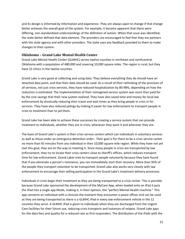and its design is informed by information and experience. They are always open to change if that change better achieves the overall goal of the system. For example, it became apparent that there were differing, non-standardized understandings of the definition of autism. When that issue was identified, the state better defined that data element. The providers are encouraged to feel that they are partners with the state agency and with other providers. The state uses any feedback provided to them to make changes to their system.

## **Oklahoma – Grand Lake Mental Health Center**

Grand Lake Mental Health Center (GLMHC) serves twelve counties in northeast and northcentral Oklahoma with a population of 480,000 and covering 10,000 square miles. The region is rural, but they have 22 clinics in the twelve counties.

Grand Lake is very good at collecting and using data. They believe everything they do should have an attached data point, and that their data should be used. As a result of their rethinking of the provision of all services, not just crisis services, they have reduced hospitalization by 80-98%, depending on how the reduction is estimated. The implementation of their reimagined service system was more than paid for by the cost savings that their new system realized. They have also saved time and money for local law enforcement by drastically reducing their travel and wait times as they bring people in crisis in for services. They have also reduced jailings by making it easier for law enforcement to transport people in crisis to treatment than to jail them.

Grand Lake has been able to achieve these successes by creating a service system that can provide treatment to individuals, whether they are in crisis, whenever they want it and wherever they are.

The basis of Grand Lake's system is their crisis service centers which can individuals in voluntary services as well as those under an emergency detention order. Their goal is for there to be a crisis service center no more than 45 minutes from any individual in their 10,000 square mile region. While they have not yet met this goal, they are on the way to meeting it. Since many people in crisis are transported by law enforcement, they try to locate their crisis centers close to sheriff's offices, which reduces transport time for law enforcement. Grand Lakes tries to transport people voluntarily because they have found that if you eliminate a person's resistance, you can immediately start their recovery. More than 95% of the people they transport volunteer to be transported. Grand Lake also works very closely with law enforcement to encourage their willing participation in the Grand Lake's treatment delivery processes.

Individuals in crisis begin their treatment as they are being transported to a crisis center. This is possible because Grand Lake sponsored the development of the MyCare App, when loaded onto an iPad it puts the iPad into a single app Mode, making it, in their opinion, the "perfect Mental Health machine." This app connects an individual with a clinician the moment they encounter a peace officer and can be used as they are being transported as there is a GLMHC iPad in every law enforcement vehicle in the 12 counties they serve. A GLMHC iPad is given to individuals when they are discharged from the Urgent Care facilities for their future use, reducing crisis transports and instances of relapse. Grand Lake pays for the data fees and quality for a reduced rate as first responders. The distribution of the iPads with the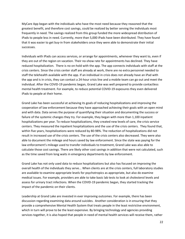MyCare App began with the individuals who have the most need because they reasoned that the greatest benefit, and therefore cost savings, could be realized by better serving the individuals most frequently in need. The savings realized from this group funded the more widespread distribution of iPads to people less in need. Currently, more than 5,000 iPads have been distributed. They have found that it was easier to get buy-in from stakeholders once they were able to demonstrate their initial successes.

Individuals with IPads can access services, or arrange for appointments, whenever they want to, even if they are out of the region on vacation. Their no-show rate for appointments has declined. They have reduced hospitalization. There is no on-hold with the app. The app connects individuals with staff at the crisis centers. Since the crisis center staff are already at work, there are no extra personnel needed to staff the telehealth available with the app. If an individual in crisis does not already have an iPad with the app and is in crisis, they can contact a 24-hour crisis line and a mobile team can go out and meet the individual. After the COVID-19 pandemic began, Grand Lake was well prepared to provide contactless mental health treatment. For example, to reduce potential COVID-19 exposures they even delivered iPads to people at their home.

Grand Lake has been successful at achieving its goals of reducing hospitalizations and improving the cooperation of law enforcement because they have approached achieving their goals with an open mind and with data. Data serves the purpose of quantifying their situation and documenting the success or failure of the systemic changes they try. For example, they began with more than 1,100 inpatient hospitalizations per year. To reduce hospitalizations, they created new levels of care, the crisis service centers. They measured the inpatient hospitalizations and the use of the crisis centers. They found that, within five years, hospitalizations were reduced by 80-98%. The reduction of hospitalizations did not result in increased use of the crisis centers. The use of the crisis centers also decreased. They were also able to document the mileage and hours saved by law enforcement. Since the state was paying for the law enforcement's mileage used to transfer individuals to treatment, Grand Lake was also able to calculate those cost savings. There are likely other cost savings in addition that were not calculated, such as the time saved from long waits in emergency departments by law enforcement.

Grand Lake has not only used data to reduce hospitalizations but also has focused on improving the overall health of the individuals they serve... When clients are at the crisis centers, full laboratory studies are available to examine appropriate levels for psychotropics as appropriate, but also do examine medical issues. For example, providers are able to take basic lab tests to look at cholesterol levels and assess for urinary tract infections. When the COVID-19 pandemic began, they started tracking the impact of the pandemic on their clients.

Leadership at Grand Lake are invested in ever improving outcomes. For example, there has been discussion regarding examining data around suicides. Another consideration is in ensuring that they provide a comprehensive Mental Health System that treats people in the least restrictive environment, which in turn will prove to be the least expensive. By bringing technology and agencies providing services together, it is also hoped that people in need of mental health services will receive them, rather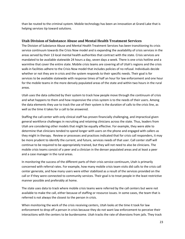than be routed to the criminal system. Mobile technology has been an innovation at Grand Lake that is helping services tip toward solutions.

## **Utah Division of Substance Abuse and Mental Health Treatment Services**

The Division of Substance Abuse and Mental Health Treatment Services has been transitioning its crisis service continuum towards the Crisis Now model and is expanding the availability of crisis services in the areas served by their 13 local mental health authorities that contract with the state. Crisis services are mandated to be available statewide 24 hours a day, seven days a week. There is one crisis hotline and a warmline that cover the entire state. Mobile crisis teams are covering all of Utah's regions and the crisis walk-in facilities adhere to the Crisis Now model that includes policies of no refusal. Individuals decide whether or not they are in crisis and the system responds to their specific needs. Their goal is for services to be available statewide with response times of half an hour for law enforcement and one hour for the mobile teams in the more densely populated areas of the state and within two hours in the rural areas.

Utah uses the data collected by their system to track how people move through the continuum of crisis and what happens to them and how responsive the crisis system is to the needs of their users. Among the data elements they use to track the use of their system is the duration of calls to the crisis line, as well as the time it takes for a call to be answered.

Staffing the call center with only clinical staff has proven financially challenging, and impractical given general workforce challenges in recruiting and retaining clinicians across the state. Thus, leaders from Utah are considering other models that might be equally effective. For example, they were able to determine that clinicians tended to spend longer with users on the phone and engaged with callers as they might in therapy. Review or processes and practices indicated that for crisis call responders, it may be more prudent to identify the current, and future, services needs of that user. Call center staff will continue to be required to be appropriately trained, but they will not need to also be clinicians. The mobile crisis teams consist of a peer and a clinician in the denser populated areas and at least a peer and a case manager in the rural areas.

In monitoring the success of the different parts of their crisis service continuum, Utah is primarily concerned with referral rates. For example, how many mobile crisis team visits did calls to the crisis call center generate, and how many users were either stabilized as a result of the services provided on the call or if they were connected to community services. Their goal is to treat people in the least restrictive manner possible and preferably at home.

The state uses data to track where mobile crisis teams were referred by the call centers but were not available to make the call, either because of staffing or resource issues. In some cases, the team that is referred is not always the closest to the person in crisis.

When monitoring the work of the crisis receiving centers, Utah looks at the time it took for law enforcement to drop off a person in crisis because they do not want law enforcement to perceive their interactions with the centers to be burdensome. Utah tracks the rate of diversions from jails. They track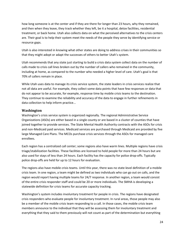how long someone is at the center and if they are there for longer than 23 hours, why they remained, and then when they leave, they track whether they left, be it a hospital, detox facilities, residential treatment, or back home. Utah also collects data on what the perceived alternatives to the crisis centers are. Their goal is to help their system meet the needs of the people they serve by identifying service or resource gaps.

Utah is also interested in knowing what other states are doing to address crises in their communities so that they might adopt or adapt the successes of others to better Utah's system.

Utah recommends that any state just starting to build a crisis data system collect data on the number of calls made to crisis call lines broken out by the number of callers who remained in the community, including at home, as compared to the number who needed a higher level of care. Utah's goal is that 70% of callers remain in place.

While Utah uses data to manage its crisis service system, the state leaders in crisis services realize that not all data are useful. For example, they collect some data points that have few responses or data that do not appear to be accurate, for example, response time by mobile crisis teams to the destination. They continue to examine the reliability and accuracy of the data to engage in further refinements in data collection to help inform practice...

## **Washington**

Washington's crisis service system is organized regionally. The regional Administrative Service Organizations (ASOs) are either based in a single county or are based in a cluster of counties that have joined together to provide services. The State Mental Health Authority contracts with the ASOs for crisis and non-Medicaid paid services. Medicaid services are purchased through Medicaid are provided by five large Managed Care Plans. The MCOs purchase crisis services through the ASOs for managed care enrollees.

Each region has a centralized call center; some regions also have warm lines. Multiple regions have crisis triage/stabilization facilities. These facilities are licensed to hold people for more than 24 hours but are also used for stays of less than 24 hours. Each facility has the capacity for police drop-offs. Typically police drop-offs are held for up to 12 hours for evaluation.

The regions also have mobile crisis teams. Until this year, there was no state-level definition of a mobile crisis team. In one region, a team might be defined as two individuals who can go out on calls, and the region would report having multiple teams for 24/7 response. In another region, a team would consist of the entire crisis responder staff and could be 20 or more individuals. The SMHA is developing a statewide definition for crisis teams for accurate capacity tracking.

Washington's system includes involuntary treatment for people in crisis. The regions have designated crisis responders who evaluate people for involuntary treatment. In rural areas, those people may also be a member of the mobile crisis team responding to a call. In those cases, the mobile crisis team members announce to the individual that they will be assessing them for involuntary treatment and everything that they said to them previously will not count as part of the determination but everything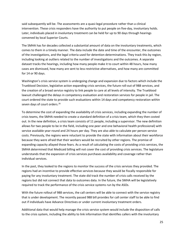said subsequently will be. The assessments are a quasi-legal procedure rather than a clinical intervention. These crisis responders have the authority to put people on five-day, involuntary holds. Later, individuals placed in involuntary treatment can be held for up to 90 days through hearings convened by local Superior Courts.

The SMHA has for decades collected a substantial amount of data on the involuntary treatments, which comes to them in a timely manner. The data include the date and time of the encounter, the outcomes of the investigations, and the legal criteria used for detention determinations. They track this by region, including looking at outliers related to the number of investigations and the outcomes. A separate dataset tracks the hearings, including how many people make it to court within 48 hours, how many cases are dismissed, how many are sent to less-restrictive alternatives, and how many are committed for 14 or 90 days.

Washington's crisis service system is undergoing change and expansion due to factors which include the Trueblood Decision, legislative action expanding crisis services, the future roll-out of 988 services, and the creation of a broad service registry to link people to care at all levels of intensity. The Trueblood lawsuit challenged the delays in competency evaluation and restoration services for people in jail. The court ordered the state to provide such evaluations within 14 days and competency restoration within seven days of court orders.<sup>26</sup>

To determine the cost of expanding the availability of crisis services, including expanding the number of crisis teams, the SMHA needed to create a standard definition of a crisis team, which they then costed out. In the new definition, a crisis team consists of 11 people, including a supervisor. The new definition allows for two people to be in the field, including one peer and one behavioral health professional) with service available year-round and 24 hours per day. They are also able to calculate per person service costs. Previously, the regions were reluctant to provide the state with information about their workforce because they were afraid that their workers would be recruited by other regions. The promise of expanding capacity allayed those fears. As a result of calculating the costs of providing crisis services, the SMHA determined that Medicaid billing will not cover the cost of providing crisis services. The legislature understands that the expansion of crisis services purchases availability and coverage rather than individual services.

In the past, they looked to the regions to monitor the success of the crisis services they provided. The regions had an incentive to provide effective services because they would be fiscally responsible for paying for any involuntary treatment. The state did track the number of crisis calls received by the regions but did not connect that data to outcomes data. In the future, the SMHA will be legislatively required to track the performance of the crisis service systems run by the ASOs.

With the future rollout of 988 services, the call centers will be able to connect with the service registry that is under development. The recently passed 988 bill provides for call center staff to be able to find out if individuals have Advance Directives or under current involuntary treatment orders.

Additional data that would help manage the crisis service system would include the disposition of calls to the crisis system, including the ability to link information that identifies callers with the involuntary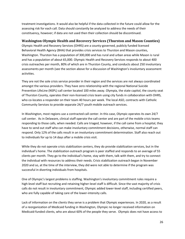treatment investigations. It would also be helpful if the data collected in the future could allow for the assessing risk for each call. Data should constantly be analyzed to address the needs of their constituency, however; if data are not used then their collection should be discontinued.

## **Washington Olympic Health and Recovery Services (Thurston and Mason Counties)**

Olympic Health and Recovery Services (OHRS) are a county-governed, publicly funded licensed Behavioral Health Agency (BHA) that provides crisis services to Thurston and Mason counties, Washington. Thurston has a population of 300,000 and has rural and urban areas while Mason is rural and has a population of about 65,000. Olympic Health and Recovery Services responds to about 400 crisis outreaches per month, 80% of which are in Thurston County, and conducts about 250 involuntary assessments per month (see the section above for a discussion of Washington's involuntary assessment activities.

They are not the sole crisis service provider in their region and the services are not always coordinated amongst the various providers. They have zero relationship with the regional National Suicide Prevention LifeLine (NSPL) call center located 100 miles away. Olympia, the state capitol, the county seat of Thurston County, operates their non-licensed crisis team using city funds in collaboration with OHRS, who co-locates a responder on their team 40 hours per week. The local ASO, contracts with Catholic Community Services to provide separate 24/7 youth mobile outreach services.

In Washington, most regions use a contracted call center. In this case, Olympic operates its own 24/7 call center. As in Delaware, clinical staff operate the call center and are part of the mobile crisis teams responding to those calls, when needed. Calls are triaged, however, if the call came from a hospital, they have to send out staff who can make involuntary commitment decisions, otherwise, normal staff can respond. Only 12% of the calls result in an involuntary commitment determination. Staff also reach out to individuals for up to 14 days after a mobile crisis visit.

While they do not operate crisis stabilization centers, they do provide stabilization services, but in the individual's home. The stabilization outreach program is peer staffed and responds to an average of 55 clients per month. They go to the individual's home, stay with them, talk with them, and try to connect the individual with resources to address their needs. Crisis stabilization outreach began in November 2020 and so, at the time of the interview, they did were not able to determine if the program was successful in diverting individuals from hospitals.

One of Olympic's largest problems is staffing. Washington's involuntary commitment rules require a high-level staff but recruiting and retaining higher-level staff is difficult. Since the vast majority of crisis calls do not result in involuntary commitment, Olympic added lower-level staff, including certified peers, who are fully capable of taking care of the lower-intensity calls.

Lack of information on the clients they serve is a problem that Olympic experiences. In 2020, as a result of a reorganization of Medicaid funding in Washington, Olympic no longer received information on Medicaid-funded clients, who are about 60% of the people they serve. Olympic does not have access to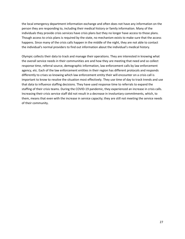the local emergency department information exchange and often does not have any information on the person they are responding to, including their medical history or family information. Many of the individuals they provide crisis services have crisis plans but they no longer have access to those plans. Though access to crisis plans is required by the state, no mechanism exists to make sure that the access happens. Since many of the crisis calls happen in the middle of the night, they are not able to contact the individual's normal providers to find out information about the individual's medical history.

Olympic collects their data to track and manage their operations. They are interested in knowing what the overall service needs in their communities are and how they are meeting that need and so collect response time, referral source, demographic information, law enforcement calls by law enforcement agency, etc. Each of the law enforcement entities in their region has different protocols and responds differently to crises so knowing which law enforcement entity their will encounter on a crisis call is important to know to resolve the situation most effectively. They use time of day to track trends and use that data to influence staffing decisions. They have used response time to referrals to expand the staffing of their crisis teams. During the COVID-19 pandemic, they experienced an increase in crisis calls. Increasing their crisis service staff did not result in a decrease in involuntary commitments, which, to them, means that even with the increase in service capacity; they are still not meeting the service needs of their community.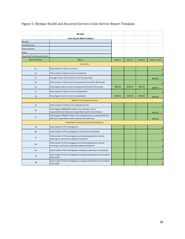|                                 | <b>BH-ASO</b>                                                                                                                  |         |         |         |                      |
|---------------------------------|--------------------------------------------------------------------------------------------------------------------------------|---------|---------|---------|----------------------|
|                                 | <b>Crisis System Metrics Report</b>                                                                                            |         |         |         |                      |
| BH-ASO                          |                                                                                                                                |         |         |         |                      |
| <b>Contact Person</b>           |                                                                                                                                |         |         |         |                      |
| Phone Number                    |                                                                                                                                |         |         |         |                      |
| Email                           |                                                                                                                                |         |         |         |                      |
| Reporting Period (quarter/year) |                                                                                                                                |         |         |         |                      |
| <b>Metric Number</b>            | <b>Metric</b>                                                                                                                  | Month 1 | Month 2 | Month 3 | <b>Quarter Total</b> |
|                                 | <b>Crisis Calls</b>                                                                                                            |         |         |         |                      |
| 1a                              | Total number of calls to crisis line                                                                                           |         |         |         | $\overline{0}$       |
| 1 <sub>b</sub>                  | Total number of calls to crisis line answered                                                                                  |         |         |         | $\overline{0}$       |
| 1c                              | Average answer time of calls to crisis line (seconds)                                                                          |         |         |         | #DIV/0!              |
| 1 <sub>d</sub>                  | Total number of calls to crisis line answered live within 30 seconds                                                           |         |         |         | $\mathbf 0$          |
| 1e                              | Percentage of calls to crisis line answered live within 30 seconds                                                             | #DIV/0! | #DIV/0! | #DIV/0! | #DIV/0!              |
| 1 <sup>f</sup>                  | Total number of calls to crisis line abandoned                                                                                 |         |         |         | $\overline{0}$       |
| 1g                              | Percentage of calls to crisis line abandoned                                                                                   | #DIV/0! | #DIV/0! | #DIV/0! | #DIV/0!              |
|                                 | <b>Mobile Crisis Outreach Services</b>                                                                                         |         |         |         |                      |
| 2a                              | Total number of mobile crisis outreach services                                                                                |         |         |         | $\mathbf 0$          |
| 2 <sub>b</sub>                  | Percentage of EMERGENT mobile crisis outreach service<br>requests/referrals that were responded to within two (2) hours        |         |         |         | #DIV/0!              |
| 2c                              | Percentage of URGENT mobile crisis outreach service requests/referrals<br>that were responded to within twenty-four (24) hours |         |         |         | #DIV/0!              |
|                                 | Involuntary Treatment Act (ITA) Investigations                                                                                 |         |         |         |                      |
| 3a                              | Total number of ITA investigations                                                                                             |         |         |         | $\mathbf 0$          |
| 3 <sub>b</sub>                  | Total number of ITA investigations conducted via telehealth                                                                    |         |         |         | $\overline{0}$       |
| 3c                              | Total number of ITA investigations not meeting detention criteria,<br>resulting in a referral to outpatient treatment          |         |         |         | $\mathbf 0$          |
| 3d                              | Total number of ITA investigations not meeting detention criteria,<br>resulting in a referral to voluntary inpatient treatment |         |         |         | $\mathbf 0$          |
| 3e                              | Total number of ITA investigations resulting in detention or revocation                                                        |         |         |         | $\overline{0}$       |
| 3f                              | Total number of ITA investigations resulting in detentions or revocations<br>filed as SUD                                      |         |         |         | $\mathbf 0$          |
| 3g                              | Total number of ITA investigations resulting in detentions or revocations<br>filed as MH                                       |         |         |         | $\mathbf 0$          |

# Figure 5: Olympic Health and Recovery Services Crisis Service Report Template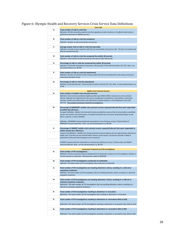Figure 6: Olympic Health and Recovery Services Crisis Service Data Definitions

|    | <b>Crisis Calls</b>                                                                                                                                                                                                               |
|----|-----------------------------------------------------------------------------------------------------------------------------------------------------------------------------------------------------------------------------------|
| 1a | Total number of calls to crisis line.<br>Definition: All Calls received by regional crisis line regardless of caller intention or if sufficient information is<br>gathered to generate an H0030 encounter.                        |
|    |                                                                                                                                                                                                                                   |
| 1b | Total number of calls to crisis line answered.                                                                                                                                                                                    |
|    | Definition: Number of calls answered by a live person.                                                                                                                                                                            |
| 1c | Average answer time of calls to crisis line (seconds).                                                                                                                                                                            |
|    | Definition: Average answer speed for calls that are answered by a live person (1b). This does not include wait<br>times for abandoned calls.                                                                                      |
|    |                                                                                                                                                                                                                                   |
| 1d | Total number of calls to crisis line answered live within 30 seconds.<br>Definition: Total number of calls answered by a live person (1b) <30 seconds                                                                             |
|    |                                                                                                                                                                                                                                   |
| 1e | Percentage of calls to crisis line answered live within 30 seconds.<br>Definition: (Total calls answered by a live person <30 seconds) / (Total calls answered). (1d / 1b). Note: use                                             |
|    | two decimal places e.g. 98.75%                                                                                                                                                                                                    |
| 1f | Total number of calls to crisis line abandoned                                                                                                                                                                                    |
|    | Definition: Number of calls that result in hang up after 30 seconds (including those who hang up during an                                                                                                                        |
|    | automated attendant script)                                                                                                                                                                                                       |
| 1g | Percentage of calls to crisis line abandoned                                                                                                                                                                                      |
|    | Definition: (Calls abandoned) / (Total number of calls to crisis line) (1f / 1a)  Note:  use two decimal places e.g.<br>4.75%                                                                                                     |
|    |                                                                                                                                                                                                                                   |
| 2a | <b>Mobile Crisis Outreach Services</b><br>Total number of mobile crisis outreach services.                                                                                                                                        |
|    | Definition: Crisis services provided by eligible provider type (H2011-SERI) in response to a crisis outreach                                                                                                                      |
|    | referral.  Referrals can originate from any source, including but not limited to, crisis call lines, community<br>members, health care professionals, law enforcement, family members, or by individuals in crisis (self-         |
|    | referral). This excludes Involuntary Treatment Investigations.                                                                                                                                                                    |
| 2b | Percentage of EMERGENT mobile crisis outreach service requests/referrals that were responded                                                                                                                                      |
|    | to within two (2) hours.                                                                                                                                                                                                          |
|    | Emergent Definition: Mobile Crisis Outreach Services provided for a person that, if not provided, would likely<br>result in the need for crisis intervention, or hospital evaluation due to concerns of potential danger to self, |
|    | others, property, or grave disability.                                                                                                                                                                                            |
|    | Definition: (EMERGENT requests/referrals responded to in two (2) hours or less) / (Total number of                                                                                                                                |
|    | EMERGENT requests/referrals). Note: use two decimal places e.g. 98.75%                                                                                                                                                            |
| 2c | Percentage of URGENT mobile crisis outreach service requests/referrals that were responded to                                                                                                                                     |
|    | within twenty-four (24) hours.<br>Urgent Crisis Definition: Mobile Crisis Outreach Services to be provided to persons approaching a behavioral                                                                                    |
|    | health crisis. If services are not received within 24 hours of the request, the persons situation is likely to                                                                                                                    |
|    | deteriorate to the point that emergency care is necessary.                                                                                                                                                                        |
|    | (URGENT requests/referrals responded to in twenty-four (24) hours or less) / (Total number of URGENT                                                                                                                              |
|    | requests/referrals) Note: use two decimal places e.g. 98.75%                                                                                                                                                                      |
|    | <b>Involuntary Treatment Act (ITA) Investigations</b>                                                                                                                                                                             |
| За | Total number of ITA investigations.<br>Definition: All crisis encounters where a Designated Crisis Responder conducts an ITA investigation whether or                                                                             |
|    | not the outcome is a detention. All encounters coded as H2011HW.                                                                                                                                                                  |
| 3b | Total number of ITA investigations conducted via telehealth.                                                                                                                                                                      |
|    | Definition: The total number of ITA Investigation (3a) conducted via telehealth                                                                                                                                                   |
| Зс | Total number of ITA investigations not meeting detention criteria, resulting in a referral to                                                                                                                                     |
|    | outpatient treatment.                                                                                                                                                                                                             |
|    | Definition: The total number of ITA Investigation (3a) not meeting detention criteria, resulting in a referral to<br>outpatient treatment.                                                                                        |
| 3d | Total number of ITA Investigations not meeting detention criteria, resulting in a referral to                                                                                                                                     |
|    | voluntary inpatient treatment                                                                                                                                                                                                     |
|    | Definition: The total number of ITA Investigation (3a) not meeting detention criteria, resulting in a                                                                                                                             |
|    | referral to voluntary inpatient treatment.                                                                                                                                                                                        |
| 3e | Total number of ITA investigations resulting in detention or revocation.                                                                                                                                                          |
|    | Definition: The total number of ITA Investigation (3a) resulting in detention or revocation.                                                                                                                                      |
| 3f | Total number of ITA investigations resulting in detentions or revocations filed as SUD.                                                                                                                                           |
|    | Definition: The total number of ITA Investigation resulting in detention or revocation (3e), filed as SUD.                                                                                                                        |
|    |                                                                                                                                                                                                                                   |
| 3g | Total number of ITA investigations resulting in detentions or revocations filed as MH.                                                                                                                                            |
|    | Definition: The total number of ITA Investigation resulting in detention or revocation (3e), filed as MH.                                                                                                                         |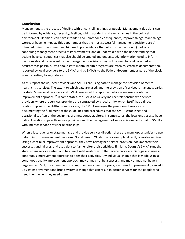## **Conclusion**

Management is the process of dealing with or controlling things or people. Management decisions can be informed by evidence, necessity, feelings, whim, accident, and even changes in the political environment. Decisions can have intended and unintended consequences, improve things, make things worse, or have no impact. This paper argues that the most successful management decisions are a) intended to improve something, b) based upon evidence that informs the decision, c) part of a continuing management process of improvements, and d) undertaken with the understanding that actions have consequences that also should be studied and understood. Information used to inform decisions should be relevant to the management decisions they will be used for and collected as accurately as possible. Data about state mental health programs are often collected as documentation, reported by local providers to the SMHA and by SMHAs to the Federal Government, as part of the block grant reporting, to legislatures.

As this report shows, local providers and SMHAs are using data to manage the provision of mental health crisis services. The extent to which data are used, and the provision of services is managed, varies by state. Some local providers and SMHAs use an ad hoc approach while some use a continual improvement approach.<sup>[27](#page-32-0)</sup> In some states, the SMHA has a very indirect relationship with service providers where the services providers are contracted by a local entity which, itself, has a direct relationship with the SMHA. In such a case, the SMHA manages the provision of services by documenting the fulfillment of the guidelines and procedures that the SMHA establishes and occasionally, often at the beginning of a new contract, alters. In some states, the local entities also have indirect relationships with service providers and the management of services is similar to that of SMHAs with indirect service provider relationships.

When a local agency or state manage and provide services directly, there are many opportunities to use data to inform management decisions. Grand Lake in Oklahoma, for example, directly operates services. Using a continual improvement approach, they have reimagined service provision, documented their successes and failures, and used data to further alter their activities. Similarly, Georgia's SMHA runs the state's crisis service system and has direct relationships with the service providers. Georgia also uses a continuous improvement approach to alter their activities. Any individual change that is made using a continuous quality improvement approach may or may not be a success, and may or may not have a large impact. Still, the accumulation of improvements over the years, even small improvements, can add up vast improvement and broad systemic change that can result in better services for the people who need them, when they need them.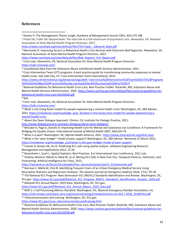## **References**

<sup>1</sup> Koontz H: The Management Theory Jungle. *Academy of Management Journal* 1961; 4(3):174-188

[https://www.nasmhpd.org/sites/default/files/TAC.Paper\\_.1Beyond\\_Beds.pdf](https://www.nasmhpd.org/sites/default/files/TAC.Paper_.1Beyond_Beds.pdf)

<sup>3</sup> Morrisette D: Improving Access to Behavioral Health Crisis Services with Electronic Bed Registries. Alexandria, VA, National Association of State Mental Health Program Directors, 2021.

[https://www.nasmhpd.org/sites/default/files/Bed\\_Registry\\_Full\\_Report.pdf](https://www.nasmhpd.org/sites/default/files/Bed_Registry_Full_Report.pdf)

<sup>4</sup> Crisis now. Alexandria, VA, National Association for State Mental Health Program Directors. <https://talk.crisisnow.com/>

<sup>5</sup> Unpublished data from the Substance Abuse and Mental Health Services Administration, 2021.

 $6$  Crisis Intervention Team (CIT) programs: A best practice guide for transforming community responses to mental health crises. Salt Lake City, UT: Crisis Intervention Team International, 2019.

[https://www.citinternational.org/bestpracticeguide#:~:text=Crisis%20Intervention%20Team%20\(CIT\)%20Programs](https://www.citinternational.org/bestpracticeguide%23:%7E:text=Crisis%20Intervention%20Team%20(CIT)%20Programs%3A%20A%20Best%20Practice%20Guide,starting%20and%20sustaining%20their%20CIT) [%3A%20A%20Best%20Practice%20Guide,starting%20and%20sustaining%20their%20CIT](https://www.citinternational.org/bestpracticeguide%23:%7E:text=Crisis%20Intervention%20Team%20(CIT)%20Programs%3A%20A%20Best%20Practice%20Guide,starting%20and%20sustaining%20their%20CIT)

<sup>7</sup> National Guidelines for Behavioral Health Crisis Care, Best Practice Toolkit. Rockville, MD, Substance Abuse and Mental Health Services Administration, 2020[. https://www.samhsa.gov/sites/default/files/national-guidelines-for](https://www.samhsa.gov/sites/default/files/national-guidelines-for-behavioral-health-crisis-care-02242020.pdf)[behavioral-health-crisis-care-02242020.pdf](https://www.samhsa.gov/sites/default/files/national-guidelines-for-behavioral-health-crisis-care-02242020.pdf)

 $8$  Ibid.

<sup>9</sup> Crisis now. Alexandria, VA, National Association for State Mental Health Program Directors. <https://talk.crisisnow.com/>

<sup>10</sup> What is the Living Room model for people experiencing a mental health crisis? Washington, DC, SMI Adviser, 2021. [https://smiadviser.org/knowledge\\_post\\_fp/what-is-the-living-room-model-for-people-experiencing-a](https://smiadviser.org/knowledge_post_fp/what-is-the-living-room-model-for-people-experiencing-a-mental-health-crisis)[mental-health-crisis](https://smiadviser.org/knowledge_post_fp/what-is-the-living-room-model-for-people-experiencing-a-mental-health-crisis)

<sup>11</sup> About the Open Dialogue Approach. Clinton, CA, Institute For Dialogic Practice, 2021.

<http://www.dialogicpractice.net/open-dialogue/about-open-dialogue/>

<sup>12</sup> McCabe O, Page A, Daniels A: Improving Health Care for Mental and Substance Use Conditions: A Framework for Bridging the Quality Chasm. *International Journal of Mental Health* 2007; 36(2):65-79

<sup>13</sup> What is a peer? Washington, DC, Mental Health America, 2021[. https://www.mhanational.org/what-peer.](https://www.mhanational.org/what-peer) 14 What is the "peer bridger" model of peer support? Washington, DC, SMI Adviser. Retrieved 31 March 2021,

https://smiadviser.org/knowledge\_post/what-is-the-peer-bridger-model-of-peer-support.<br><sup>15</sup> Cramer D, Brown AA, Hu G: Predicting 911 calls using spatial analysis. Software Engineering Research, Management and Applications 2012, 15-26

<sup>16</sup> Rosenheim L, Scott L: Spatial Statistics: Best Practices. Esri International User Conference, 2011 July.

<sup>17</sup> Chohlas-Wood A, Merali A, Reed W, et al: Mining 911 Calls in New York City: Temporal Patterns, Detection, and Forecasting. Artificial Intelligence for Cities, 2015.

[https://warwick.ac.uk/fac/sci/dcs/people/theo\\_damoulas/pubs/aaai15\\_911damoulas.pdf](https://warwick.ac.uk/fac/sci/dcs/people/theo_damoulas/pubs/aaai15_911damoulas.pdf)

<sup>18</sup> Norman C, Mello M, Choi B: Identifying Frequent Users of an Urban Emergency Medical Service Using Descriptive Statistics and Regression Analyses. The western journal of emergency medicine 2016; 17(1): 39–45<br><sup>19</sup> The National 911 Program: Next Generation 911 (NG911) Standards Identification and Review. Washington, DC,

911.gov. [https://www.911.gov/pdf/National\\_911\\_Program\\_NG911\\_Standards\\_Identification\\_Analysis\\_2020.pdf](https://www.911.gov/pdf/National_911_Program_NG911_Standards_Identification_Analysis_2020.pdf)

<sup>20</sup> National 911 Annual Report: 2019 Data. Washington, DC, 911.gov.

[https://www.911.gov/pdf/National\\_911\\_Annual\\_Report\\_2019\\_Data.pdf](https://www.911.gov/pdf/National_911_Annual_Report_2019_Data.pdf)

<sup>21</sup> NG9-1-1 Call Processing Metrics Standard. Washington, DC, National Emergency Number Association, Inc. [https://cdn.ymaws.com/www.nena.org/resource/resmgr/standards/nena-sta-019.1-2018\\_20180702.pdf](https://cdn.ymaws.com/www.nena.org/resource/resmgr/standards/nena-sta-019.1-2018_20180702.pdf)

<sup>22</sup> Telecommunicators and training. Washington, DC, 911.gov.

[https://www.911.gov/issue\\_telecommunicatorsandtraining.html](https://www.911.gov/issue_telecommunicatorsandtraining.html)

<sup>23</sup> National Guidelines for Behavioral Health Crisis Care, Best Practice Toolkit. Rockville, MD, Substance Abuse and Mental Health Services Administration, 2020[. https://www.samhsa.gov/sites/default/files/national-guidelines-for](https://www.samhsa.gov/sites/default/files/national-guidelines-for-behavioral-health-crisis-care-02242020.pdf)[behavioral-health-crisis-care-02242020.pdf](https://www.samhsa.gov/sites/default/files/national-guidelines-for-behavioral-health-crisis-care-02242020.pdf)

<sup>2</sup> Pinals DA, Fuller DA: Beyond beds: The vital role of a full continuum of psychiatric care. Alexandria, VA, National Association of State Mental Health Program Directors, 2017*.*